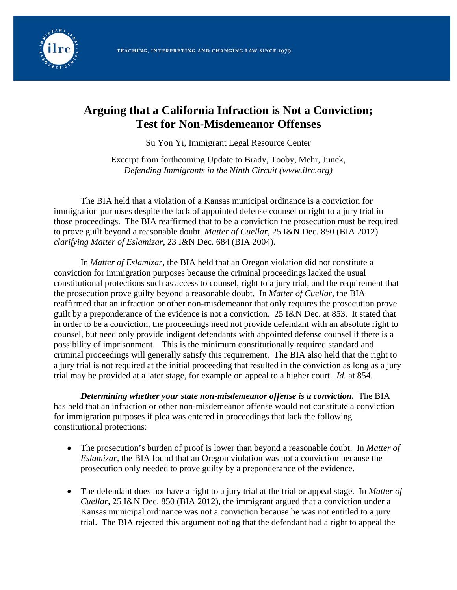

## **Arguing that a California Infraction is Not a Conviction; Test for Non-Misdemeanor Offenses**

Su Yon Yi, Immigrant Legal Resource Center

Excerpt from forthcoming Update to Brady, Tooby, Mehr, Junck, *Defending Immigrants in the Ninth Circuit (www.ilrc.org)* 

The BIA held that a violation of a Kansas municipal ordinance is a conviction for immigration purposes despite the lack of appointed defense counsel or right to a jury trial in those proceedings. The BIA reaffirmed that to be a conviction the prosecution must be required to prove guilt beyond a reasonable doubt. *Matter of Cuellar*, 25 I&N Dec. 850 (BIA 2012) *clarifying Matter of Eslamizar*, 23 I&N Dec. 684 (BIA 2004).

In *Matter of Eslamizar*, the BIA held that an Oregon violation did not constitute a conviction for immigration purposes because the criminal proceedings lacked the usual constitutional protections such as access to counsel, right to a jury trial, and the requirement that the prosecution prove guilty beyond a reasonable doubt. In *Matter of Cuellar,* the BIA reaffirmed that an infraction or other non-misdemeanor that only requires the prosecution prove guilt by a preponderance of the evidence is not a conviction. 25 I&N Dec. at 853. It stated that in order to be a conviction, the proceedings need not provide defendant with an absolute right to counsel, but need only provide indigent defendants with appointed defense counsel if there is a possibility of imprisonment. This is the minimum constitutionally required standard and criminal proceedings will generally satisfy this requirement. The BIA also held that the right to a jury trial is not required at the initial proceeding that resulted in the conviction as long as a jury trial may be provided at a later stage, for example on appeal to a higher court. *Id.* at 854.

*Determining whether your state non-misdemeanor offense is a conviction.* The BIA has held that an infraction or other non-misdemeanor offense would not constitute a conviction for immigration purposes if plea was entered in proceedings that lack the following constitutional protections:

- The prosecution's burden of proof is lower than beyond a reasonable doubt. In *Matter of Eslamizar,* the BIA found that an Oregon violation was not a conviction because the prosecution only needed to prove guilty by a preponderance of the evidence.
- The defendant does not have a right to a jury trial at the trial or appeal stage. In *Matter of Cuellar,* 25 I&N Dec. 850 (BIA 2012), the immigrant argued that a conviction under a Kansas municipal ordinance was not a conviction because he was not entitled to a jury trial. The BIA rejected this argument noting that the defendant had a right to appeal the